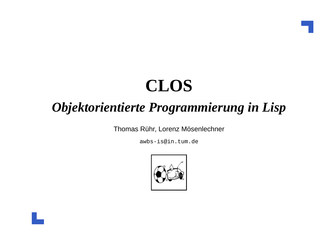## **CLOS**

#### *Objektorientierte Programmierung in Lisp*

Thomas Rühr, Lorenz Mösenlechner

awbs-is@in.tum.de

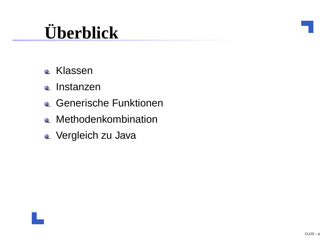# **Überblick**

- Klassen
- Instanzen
- **e** Generische Funktionen
- **Q** Methodenkombination
- **Q** Vergleich zu Java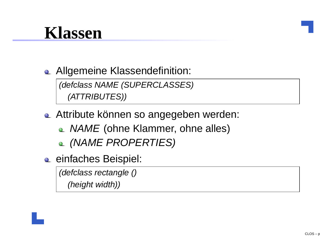#### **Klassen**

**Allgemeine Klassendefinition:** 

(defclass NAME (SUPERCLASSES)(ATTRIBUTES))

- **Attribute können so angegeben werden:** 
	- *NAME* (ohne Klammer, ohne alles)
	- (NAME PROPERTIES)
- **e** einfaches Beispiel:

(defclass rectangle ()

(height width))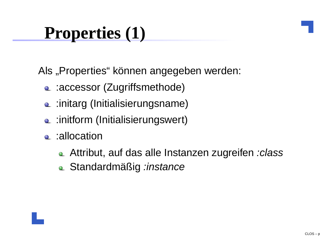#### **Properties (1)**

Als "Properties" können angegeben werden:

- :accessor (Zugriffsmethode)
- c :initarg (Initialisierungsname)
- **Q** :initform (Initialisierungswert)
- **e** :allocation
	- Attribut, auf das alle Instanzen zugreifen :class
	- Standardmäßig :instance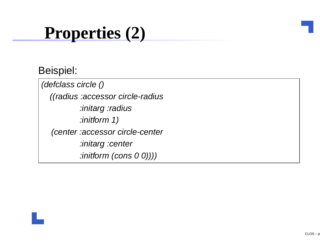#### **Properties (2)**

#### Beispiel:

(defclass circle ()((radius :accessor circle-radius:initarg :radius:initform 1)(center :accessor circle-center:initarg :center:initform (cons 0 0))))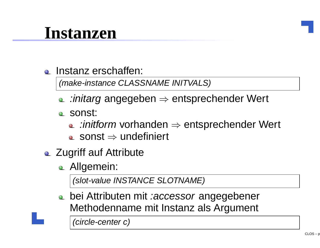#### **Instanzen**

**Q** Instanz erschaffen:

(make-instance CLASSNAME INITVALS)

- :initarg angegeben <sup>⇒</sup> entsprechender Wert
- sonst:
	- :*initform* vorhanden ⇒ entsprechender Wert<br>sonst → undefiniert
	- $\mathsf{sconst} \Rightarrow$  undefiniert
- **Q Zugriff auf Attribute** 
	- **Allgemein:**

(slot-value INSTANCE SLOTNAME)

bei Attributen mit *:accessor* angegebener Methodenname mit Instanz als Argument

(circle-center c)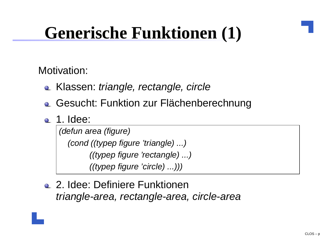## **Generische Funktionen (1)**

Motivation:

- Klassen: triangle, rectangle, circle
- **Q.** Gesucht: Funktion zur Flächenberechnung
- **2.** 1. Idee:

(defun area (figure)(cond ((typep figure 'triangle) ...)((typep figure 'rectangle) ...)((typep figure 'circle) ...)))

2. Idee: Definiere Funktionentriangle-area, rectangle-area, circle-area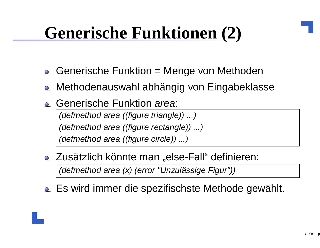### **Generische Funktionen (2)**

- Generische Funktion <sup>=</sup> Menge von Methoden
- **Example 2 Methodenauswahl abhängig von Eingabeklasse**
- Generische Funktion area:

(defmethod area ((figure triangle)) ...)(defmethod area ((figure rectangle)) ...)(defmethod area ((figure circle)) ...)

**E.** Zusätzlich könnte man "else-Fall" definieren:

(defmethod area (x) (error "Unzulässige Figur"))

Es wird immer die spezifischste Methode gewählt.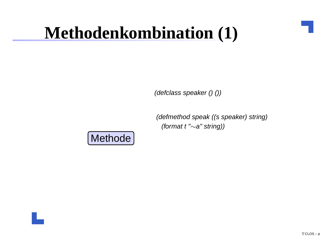(defclass speaker () ())

(defmethod speak ((s speaker) string) (format <sup>t</sup> "∼a" string))

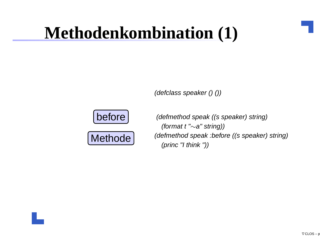(defclass speaker () ())





(defmethod speak ((s speaker) string) (format <sup>t</sup> "∼a" string))(defmethod speak :before ((s speaker) string)(princ "I think "))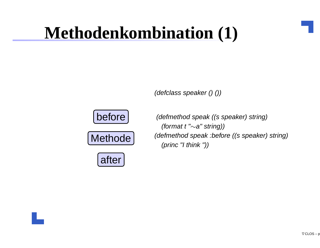(defclass speaker () ())







(defmethod speak ((s speaker) string) (format <sup>t</sup> "∼a" string))(defmethod speak :before ((s speaker) string)(princ "I think "))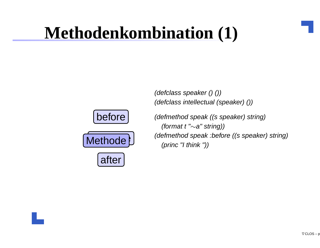before





(defmethod speak ((s speaker) string) (format t " $\sim$ a" string)) (defmethod speak :before ((s speaker) string)(princ "I think "))

(defclass speaker () ())

(defclass intellectual (speaker) ())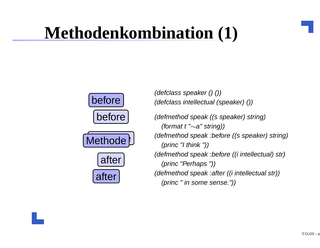

(defclass speaker () ())(defclass intellectual (speaker) ())

(defmethod speak ((s speaker) string)(format t " $\sim$ a" string)) (defmethod speak :before ((s speaker) string)(princ "I think "))(defmethod speak :before ((i intellectual) str)(princ "Perhaps "))(defmethod speak :after ((i intellectual str))(princ " in some sense."))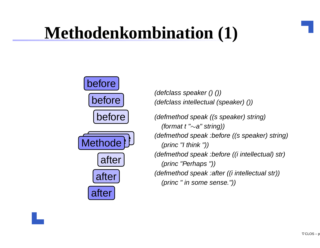

(defclass speaker () ())(defclass intellectual (speaker) ())

(defmethod speak ((s speaker) string)(format t " $\sim$ a" string)) (defmethod speak :before ((s speaker) string)(princ "I think "))(defmethod speak :before ((i intellectual) str)(princ "Perhaps "))(defmethod speak :after ((i intellectual str))(princ " in some sense."))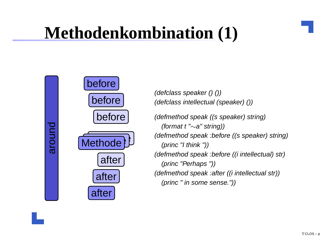

(defclass speaker () ())(defclass intellectual (speaker) ())

(defmethod speak ((s speaker) string)(format t " $\sim$ a" string)) (defmethod speak :before ((s speaker) string)(princ "I think "))(defmethod speak :before ((i intellectual) str)(princ "Perhaps "))(defmethod speak :after ((i intellectual str))(princ " in some sense."))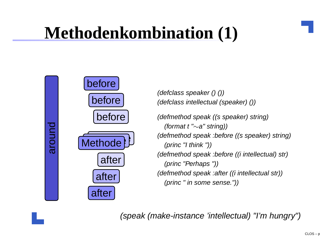

(defclass speaker () ())(defclass intellectual (speaker) ())

(defmethod speak ((s speaker) string)(format t " $\sim$ a" string)) (defmethod speak :before ((s speaker) string)(princ "I think "))(defmethod speak :before ((i intellectual) str)(princ "Perhaps "))(defmethod speak :after ((i intellectual str))(princ " in some sense."))

(speak (make-instance 'intellectual) "I'm hungry")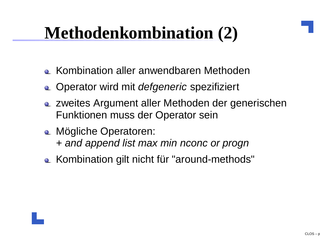- **E.** Kombination aller anwendbaren Methoden
- Operator wird mit *defgeneric* spezifiziert
- zweites Argument aller Methoden der generischenFunktionen muss der Operator sein
- **A.** Mögliche Operatoren: <sup>+</sup> and append list max min nconc or progn
- Kombination gilt nicht für "around-methods"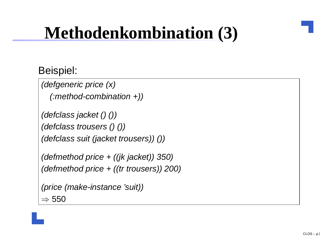#### Beispiel:

```
(defgeneric price (x)(:method-combination +))
```

```
(defclass jacket () ())(defclass trousers () ())(defclass suit (jacket trousers)) ())
```

```
(defmethod price + ((jk jacket)) 350)(defmethod price + ((tr trousers)) 200)
```

```
(price (make-instance 'suit))\Rightarrow 550
```